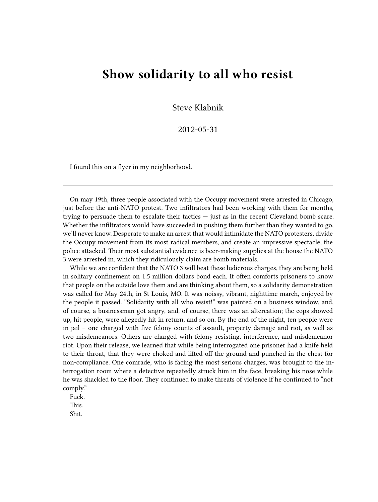## **Show solidarity to all who resist**

Steve Klabnik

## 2012-05-31

I found this on a flyer in my neighborhood.

On may 19th, three people associated with the Occupy movement were arrested in Chicago, just before the anti-NATO protest. Two infiltrators had been working with them for months, trying to persuade them to escalate their tactics — just as in the recent Cleveland bomb scare. Whether the infiltrators would have succeeded in pushing them further than they wanted to go, we'll never know. Desperate to make an arrest that would intimidate the NATO protesters, divide the Occupy movement from its most radical members, and create an impressive spectacle, the police attacked. Their most substantial evidence is beer-making supplies at the house the NATO 3 were arrested in, which they ridiculously claim are bomb materials.

While we are confident that the NATO 3 will beat these ludicrous charges, they are being held in solitary confinement on 1.5 million dollars bond each. It often comforts prisoners to know that people on the outside love them and are thinking about them, so a solidarity demonstration was called for May 24th, in St Louis, MO. It was noissy, vibrant, nighttime march, enjoyed by the people it passed. "Solidarity with all who resist!" was painted on a business window, and, of course, a businessman got angry, and, of course, there was an altercation; the cops showed up, hit people, were allegedly hit in return, and so on. By the end of the night, ten people were in jail – one charged with five felony counts of assault, property damage and riot, as well as two misdemeanors. Others are charged with felony resisting, interference, and misdemeanor riot. Upon their release, we learned that while being interrogated one prisoner had a knife held to their throat, that they were choked and lifted off the ground and punched in the chest for non-compliance. One comrade, who is facing the most serious charges, was brought to the interrogation room where a detective repeatedly struck him in the face, breaking his nose while he was shackled to the floor. They continued to make threats of violence if he continued to "not comply."

Fuck. This.

Shit.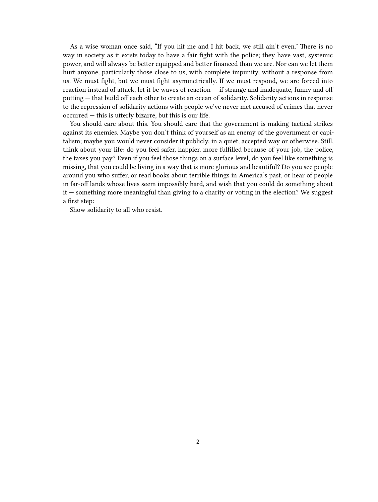As a wise woman once said, "If you hit me and I hit back, we still ain't even." There is no way in society as it exists today to have a fair fight with the police; they have vast, systemic power, and will always be better equipped and better financed than we are. Nor can we let them hurt anyone, particularly those close to us, with complete impunity, without a response from us. We must fight, but we must fight asymmetrically. If we must respond, we are forced into reaction instead of attack, let it be waves of reaction — if strange and inadequate, funny and off putting — that build off each other to create an ocean of solidarity. Solidarity actions in response to the repression of solidarity actions with people we've never met accused of crimes that never occurred — this is utterly bizarre, but this is our life.

You should care about this. You should care that the government is making tactical strikes against its enemies. Maybe you don't think of yourself as an enemy of the government or capitalism; maybe you would never consider it publicly, in a quiet, accepted way or otherwise. Still, think about your life: do you feel safer, happier, more fulfilled because of your job, the police, the taxes you pay? Even if you feel those things on a surface level, do you feel like something is missing, that you could be living in a way that is more glorious and beautiful? Do you see people around you who suffer, or read books about terrible things in America's past, or hear of people in far-off lands whose lives seem impossibly hard, and wish that you could do something about it — something more meaningful than giving to a charity or voting in the election? We suggest a first step:

Show solidarity to all who resist.